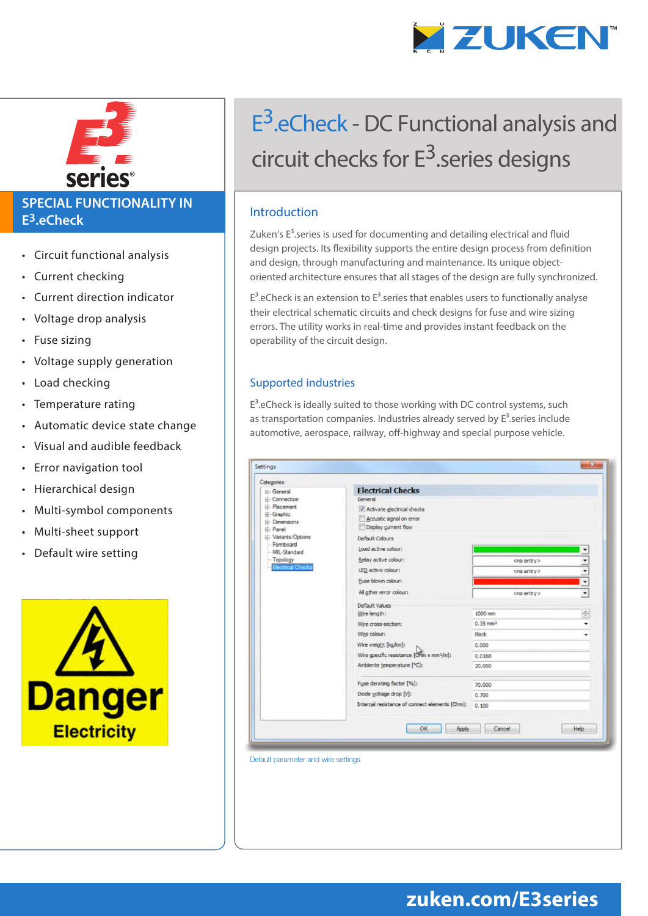



#### **SPECIAL FUNCTIONALITY IN E3.eCheck**

- Circuit functional analysis
- Current checking
- Current direction indicator
- Voltage drop analysis
- Fuse sizing
- Voltage supply generation
- Load checking
- Temperature rating
- Automatic device state change
- Visual and audible feedback
- Error navigation tool
- Hierarchical design
- Multi-symbol components
- Multi-sheet support
- Default wire setting



# E<sup>3</sup>.eCheck - DC Functional analysis and circuit checks for  $E^3$  series designs

#### Introduction

Zuken's  $E<sup>3</sup>$ .series is used for documenting and detailing electrical and fluid design projects. Its flexibility supports the entire design process from definition and design, through manufacturing and maintenance. Its unique objectoriented architecture ensures that all stages of the design are fully synchronized.

 $E<sup>3</sup>$ .eCheck is an extension to  $E<sup>3</sup>$ .series that enables users to functionally analyse their electrical schematic circuits and check designs for fuse and wire sizing errors. The utility works in real-time and provides instant feedback on the operability of the circuit design.

#### Supported industries

 $E<sup>3</sup>$ .eCheck is ideally suited to those working with DC control systems, such as transportation companies. Industries already served by  $E^3$ . series include automotive, aerospace, railway, off-highway and special purpose vehicle.

| Categories:                                                                                                                                                                                                                | <b>Electrical Checks</b>                                                                  |                                   |                 |
|----------------------------------------------------------------------------------------------------------------------------------------------------------------------------------------------------------------------------|-------------------------------------------------------------------------------------------|-----------------------------------|-----------------|
| <b>IEI</b> -General<br><b>E</b> -Connection<br><b>E-Placement</b><br>Ei-Graphic<br>(ii) Dimensions<br><b>E</b> -Panel<br><b>E-Variants/Options</b><br>Formboard<br>MIL-Standard<br>-- Topology<br><b>Electrical Checks</b> | General<br>Activate electrical checks<br>Accustic signal on error<br>Display gurrent flow |                                   |                 |
|                                                                                                                                                                                                                            | Default Colours<br>Load active colour:                                                    |                                   |                 |
|                                                                                                                                                                                                                            | Relay active colour:                                                                      | <no entry=""></no>                |                 |
|                                                                                                                                                                                                                            | LED active colour:                                                                        | <no entry=""></no>                |                 |
|                                                                                                                                                                                                                            | Fuse blown colour:                                                                        |                                   |                 |
|                                                                                                                                                                                                                            | All other error colour:                                                                   | <no entry=""></no>                | ٠               |
|                                                                                                                                                                                                                            | Default Values<br>Wire length:<br>Wire cross-section:                                     | 1000 mm<br>$0.35$ mm <sup>2</sup> | $\frac{1}{\pi}$ |
|                                                                                                                                                                                                                            | Wire colour:                                                                              | Black                             |                 |
|                                                                                                                                                                                                                            | Wire weight [kg/km]:                                                                      | 0.000                             |                 |
|                                                                                                                                                                                                                            | Wire specific resistance [OHm x mm <sup>2</sup> /m]:<br>Ambiente temperature [°C]:        | 0.0168                            |                 |
|                                                                                                                                                                                                                            |                                                                                           | 20,000                            |                 |
|                                                                                                                                                                                                                            | Fuse derating factor [%]:                                                                 | 70,000                            |                 |
|                                                                                                                                                                                                                            | Diode yoltage drop [V]:                                                                   | 0.700                             |                 |
|                                                                                                                                                                                                                            | Internal resistance of connect elements [Ohm]:                                            | 0.100                             |                 |
|                                                                                                                                                                                                                            |                                                                                           |                                   |                 |

#### Default parameter and wire settings

## **zuken.com/E3series**